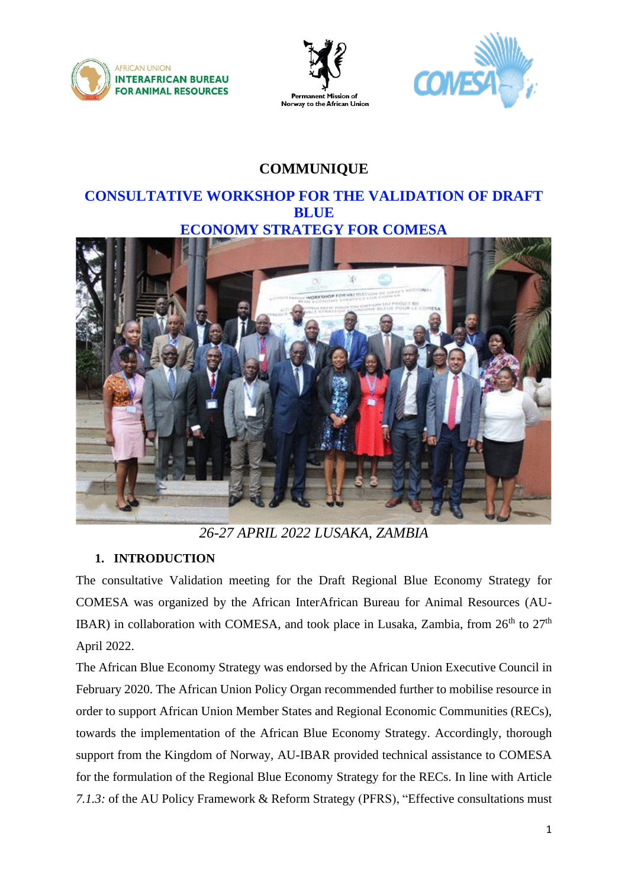





# **COMMUNIQUE**

## **CONSULTATIVE WORKSHOP FOR THE VALIDATION OF DRAFT BLUE ECONOMY STRATEGY FOR COMESA**



*26-27 APRIL 2022 LUSAKA, ZAMBIA*

## **1. INTRODUCTION**

The consultative Validation meeting for the Draft Regional Blue Economy Strategy for COMESA was organized by the African InterAfrican Bureau for Animal Resources (AU-IBAR) in collaboration with COMESA, and took place in Lusaka, Zambia, from  $26<sup>th</sup>$  to  $27<sup>th</sup>$ April 2022.

The African Blue Economy Strategy was endorsed by the African Union Executive Council in February 2020. The African Union Policy Organ recommended further to mobilise resource in order to support African Union Member States and Regional Economic Communities (RECs), towards the implementation of the African Blue Economy Strategy. Accordingly, thorough support from the Kingdom of Norway, AU-IBAR provided technical assistance to COMESA for the formulation of the Regional Blue Economy Strategy for the RECs. In line with Article *7.1.3:* of the AU Policy Framework & Reform Strategy (PFRS), "Effective consultations must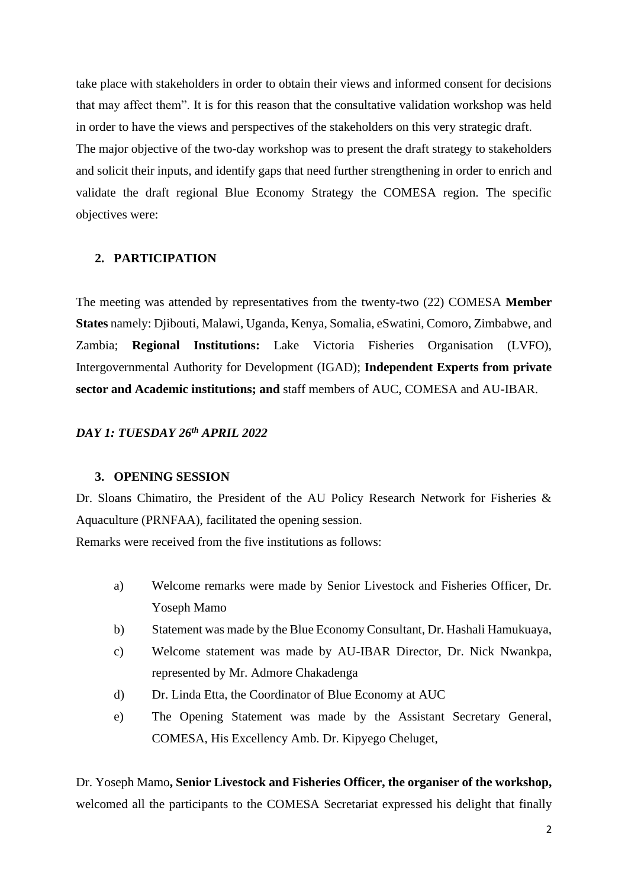take place with stakeholders in order to obtain their views and informed consent for decisions that may affect them". It is for this reason that the consultative validation workshop was held in order to have the views and perspectives of the stakeholders on this very strategic draft. The major objective of the two-day workshop was to present the draft strategy to stakeholders and solicit their inputs, and identify gaps that need further strengthening in order to enrich and validate the draft regional Blue Economy Strategy the COMESA region. The specific objectives were:

#### **2. PARTICIPATION**

The meeting was attended by representatives from the twenty-two (22) COMESA **Member States** namely: Djibouti, Malawi, Uganda, Kenya, Somalia, eSwatini, Comoro, Zimbabwe, and Zambia; **Regional Institutions:** Lake Victoria Fisheries Organisation (LVFO), Intergovernmental Authority for Development (IGAD); **Independent Experts from private sector and Academic institutions; and** staff members of AUC, COMESA and AU-IBAR.

## *DAY 1: TUESDAY 26th APRIL 2022*

#### **3. OPENING SESSION**

Dr. Sloans Chimatiro, the President of the AU Policy Research Network for Fisheries & Aquaculture (PRNFAA), facilitated the opening session.

Remarks were received from the five institutions as follows:

- a) Welcome remarks were made by Senior Livestock and Fisheries Officer, Dr. Yoseph Mamo
- b) Statement was made by the Blue Economy Consultant, Dr. Hashali Hamukuaya,
- c) Welcome statement was made by AU-IBAR Director, Dr. Nick Nwankpa, represented by Mr. Admore Chakadenga
- d) Dr. Linda Etta, the Coordinator of Blue Economy at AUC
- e) The Opening Statement was made by the Assistant Secretary General, COMESA, His Excellency Amb. Dr. Kipyego Cheluget,

Dr. Yoseph Mamo**, Senior Livestock and Fisheries Officer, the organiser of the workshop,**  welcomed all the participants to the COMESA Secretariat expressed his delight that finally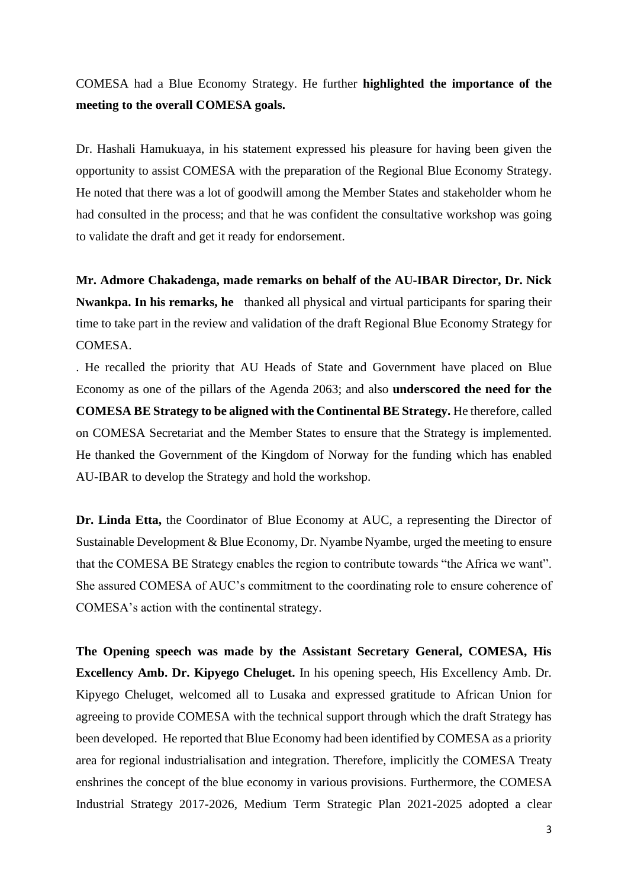COMESA had a Blue Economy Strategy. He further **highlighted the importance of the meeting to the overall COMESA goals.**

Dr. Hashali Hamukuaya, in his statement expressed his pleasure for having been given the opportunity to assist COMESA with the preparation of the Regional Blue Economy Strategy. He noted that there was a lot of goodwill among the Member States and stakeholder whom he had consulted in the process; and that he was confident the consultative workshop was going to validate the draft and get it ready for endorsement.

**Mr. Admore Chakadenga, made remarks on behalf of the AU-IBAR Director, Dr. Nick Nwankpa. In his remarks, he** thanked all physical and virtual participants for sparing their time to take part in the review and validation of the draft Regional Blue Economy Strategy for COMESA.

. He recalled the priority that AU Heads of State and Government have placed on Blue Economy as one of the pillars of the Agenda 2063; and also **underscored the need for the COMESA BE Strategy to be aligned with the Continental BE Strategy.** He therefore, called on COMESA Secretariat and the Member States to ensure that the Strategy is implemented. He thanked the Government of the Kingdom of Norway for the funding which has enabled AU-IBAR to develop the Strategy and hold the workshop.

**Dr. Linda Etta,** the Coordinator of Blue Economy at AUC, a representing the Director of Sustainable Development & Blue Economy, Dr. Nyambe Nyambe, urged the meeting to ensure that the COMESA BE Strategy enables the region to contribute towards "the Africa we want". She assured COMESA of AUC's commitment to the coordinating role to ensure coherence of COMESA's action with the continental strategy.

**The Opening speech was made by the Assistant Secretary General, COMESA, His Excellency Amb. Dr. Kipyego Cheluget.** In his opening speech, His Excellency Amb. Dr. Kipyego Cheluget, welcomed all to Lusaka and expressed gratitude to African Union for agreeing to provide COMESA with the technical support through which the draft Strategy has been developed. He reported that Blue Economy had been identified by COMESA as a priority area for regional industrialisation and integration. Therefore, implicitly the COMESA Treaty enshrines the concept of the blue economy in various provisions. Furthermore, the COMESA Industrial Strategy 2017-2026, Medium Term Strategic Plan 2021-2025 adopted a clear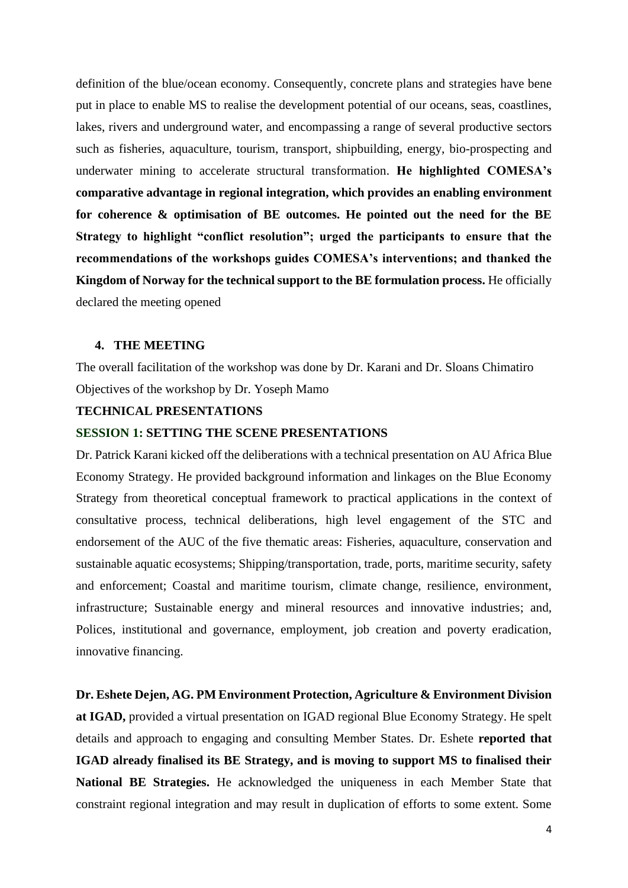definition of the blue/ocean economy. Consequently, concrete plans and strategies have bene put in place to enable MS to realise the development potential of our oceans, seas, coastlines, lakes, rivers and underground water, and encompassing a range of several productive sectors such as fisheries, aquaculture, tourism, transport, shipbuilding, energy, bio-prospecting and underwater mining to accelerate structural transformation. **He highlighted COMESA's comparative advantage in regional integration, which provides an enabling environment for coherence & optimisation of BE outcomes. He pointed out the need for the BE Strategy to highlight "conflict resolution"; urged the participants to ensure that the recommendations of the workshops guides COMESA's interventions; and thanked the Kingdom of Norway for the technical support to the BE formulation process.** He officially declared the meeting opened

#### **4. THE MEETING**

The overall facilitation of the workshop was done by Dr. Karani and Dr. Sloans Chimatiro Objectives of the workshop by Dr. Yoseph Mamo

## **TECHNICAL PRESENTATIONS**

#### **SESSION 1: SETTING THE SCENE PRESENTATIONS**

Dr. Patrick Karani kicked off the deliberations with a technical presentation on AU Africa Blue Economy Strategy. He provided background information and linkages on the Blue Economy Strategy from theoretical conceptual framework to practical applications in the context of consultative process, technical deliberations, high level engagement of the STC and endorsement of the AUC of the five thematic areas: Fisheries, aquaculture, conservation and sustainable aquatic ecosystems; Shipping/transportation, trade, ports, maritime security, safety and enforcement; Coastal and maritime tourism, climate change, resilience, environment, infrastructure; Sustainable energy and mineral resources and innovative industries; and, Polices, institutional and governance, employment, job creation and poverty eradication, innovative financing.

**Dr. Eshete Dejen, AG. PM Environment Protection, Agriculture & Environment Division at IGAD,** provided a virtual presentation on IGAD regional Blue Economy Strategy. He spelt details and approach to engaging and consulting Member States. Dr. Eshete **reported that IGAD already finalised its BE Strategy, and is moving to support MS to finalised their National BE Strategies.** He acknowledged the uniqueness in each Member State that constraint regional integration and may result in duplication of efforts to some extent. Some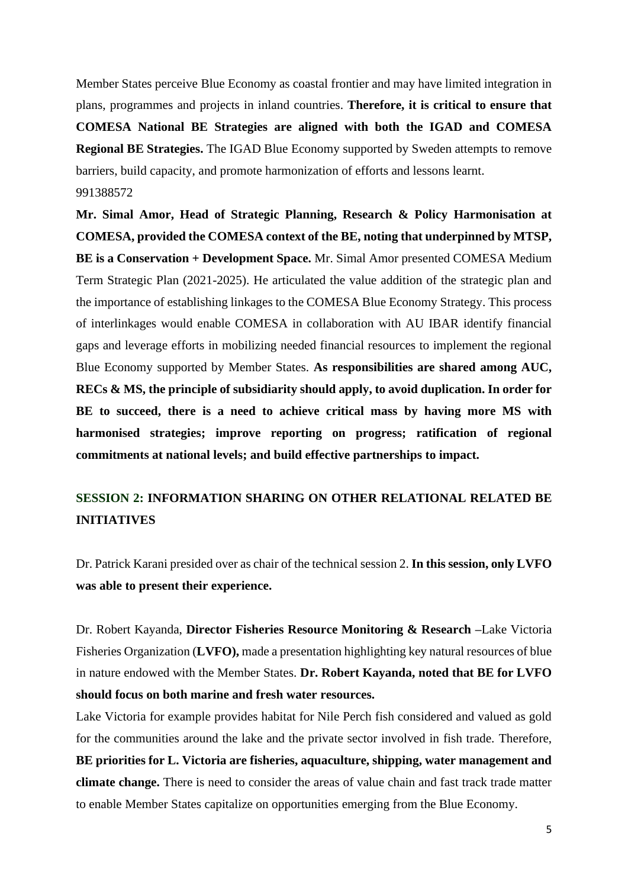Member States perceive Blue Economy as coastal frontier and may have limited integration in plans, programmes and projects in inland countries. **Therefore, it is critical to ensure that COMESA National BE Strategies are aligned with both the IGAD and COMESA Regional BE Strategies.** The IGAD Blue Economy supported by Sweden attempts to remove barriers, build capacity, and promote harmonization of efforts and lessons learnt. 991388572

**Mr. Simal Amor, Head of Strategic Planning, Research & Policy Harmonisation at COMESA, provided the COMESA context of the BE, noting that underpinned by MTSP, BE is a Conservation + Development Space.** Mr. Simal Amor presented COMESA Medium Term Strategic Plan (2021-2025). He articulated the value addition of the strategic plan and the importance of establishing linkages to the COMESA Blue Economy Strategy. This process of interlinkages would enable COMESA in collaboration with AU IBAR identify financial gaps and leverage efforts in mobilizing needed financial resources to implement the regional Blue Economy supported by Member States. **As responsibilities are shared among AUC, RECs & MS, the principle of subsidiarity should apply, to avoid duplication. In order for BE to succeed, there is a need to achieve critical mass by having more MS with harmonised strategies; improve reporting on progress; ratification of regional commitments at national levels; and build effective partnerships to impact.**

## **SESSION 2: INFORMATION SHARING ON OTHER RELATIONAL RELATED BE INITIATIVES**

Dr. Patrick Karani presided over as chair of the technical session 2. **In this session, only LVFO was able to present their experience.**

Dr. Robert Kayanda, **Director Fisheries Resource Monitoring & Research –**Lake Victoria Fisheries Organization (**LVFO),** made a presentation highlighting key natural resources of blue in nature endowed with the Member States. **Dr. Robert Kayanda, noted that BE for LVFO should focus on both marine and fresh water resources.** 

Lake Victoria for example provides habitat for Nile Perch fish considered and valued as gold for the communities around the lake and the private sector involved in fish trade. Therefore, **BE priorities for L. Victoria are fisheries, aquaculture, shipping, water management and climate change.** There is need to consider the areas of value chain and fast track trade matter to enable Member States capitalize on opportunities emerging from the Blue Economy.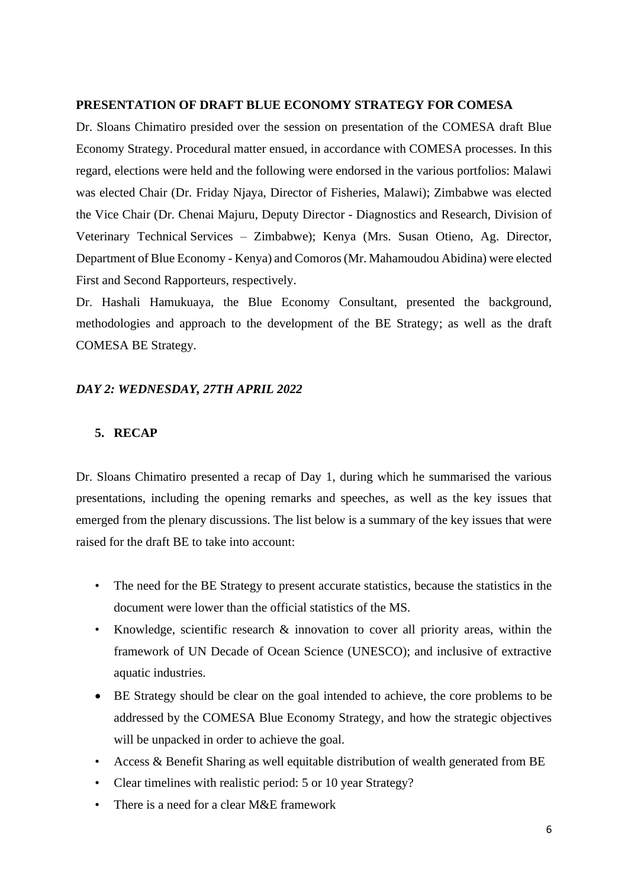#### **PRESENTATION OF DRAFT BLUE ECONOMY STRATEGY FOR COMESA**

Dr. Sloans Chimatiro presided over the session on presentation of the COMESA draft Blue Economy Strategy. Procedural matter ensued, in accordance with COMESA processes. In this regard, elections were held and the following were endorsed in the various portfolios: Malawi was elected Chair (Dr. Friday Njaya, Director of Fisheries, Malawi); Zimbabwe was elected the Vice Chair (Dr. Chenai Majuru, Deputy Director - Diagnostics and Research, Division of Veterinary Technical Services – Zimbabwe); Kenya (Mrs. Susan Otieno, Ag. Director, Department of Blue Economy - Kenya) and Comoros (Mr. Mahamoudou Abidina) were elected First and Second Rapporteurs, respectively.

Dr. Hashali Hamukuaya, the Blue Economy Consultant, presented the background, methodologies and approach to the development of the BE Strategy; as well as the draft COMESA BE Strategy.

#### *DAY 2: WEDNESDAY, 27TH APRIL 2022*

### **5. RECAP**

Dr. Sloans Chimatiro presented a recap of Day 1, during which he summarised the various presentations, including the opening remarks and speeches, as well as the key issues that emerged from the plenary discussions. The list below is a summary of the key issues that were raised for the draft BE to take into account:

- The need for the BE Strategy to present accurate statistics, because the statistics in the document were lower than the official statistics of the MS.
- Knowledge, scientific research & innovation to cover all priority areas, within the framework of UN Decade of Ocean Science (UNESCO); and inclusive of extractive aquatic industries.
- BE Strategy should be clear on the goal intended to achieve, the core problems to be addressed by the COMESA Blue Economy Strategy, and how the strategic objectives will be unpacked in order to achieve the goal.
- Access & Benefit Sharing as well equitable distribution of wealth generated from BE
- Clear timelines with realistic period: 5 or 10 year Strategy?
- There is a need for a clear M&E framework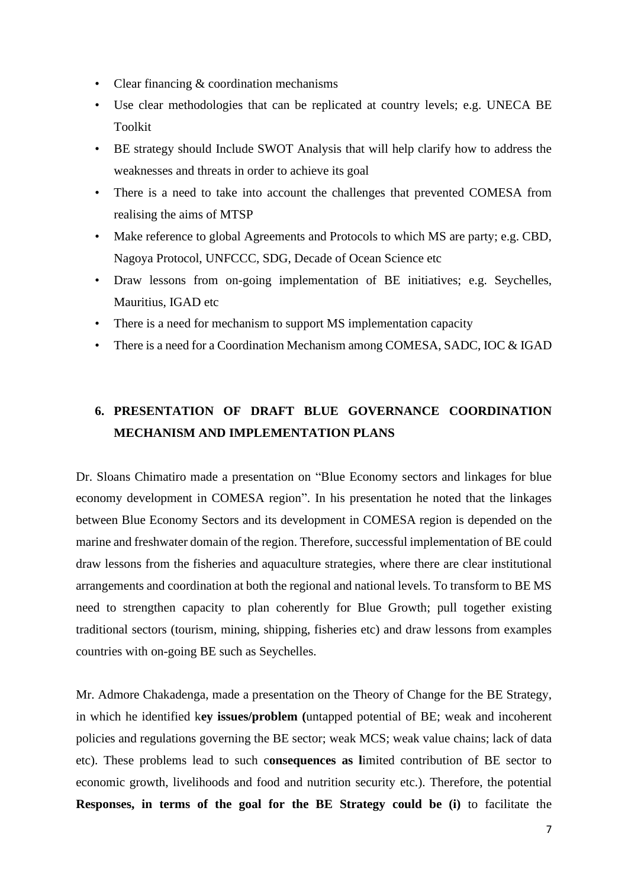- Clear financing & coordination mechanisms
- Use clear methodologies that can be replicated at country levels; e.g. UNECA BE Toolkit
- BE strategy should Include SWOT Analysis that will help clarify how to address the weaknesses and threats in order to achieve its goal
- There is a need to take into account the challenges that prevented COMESA from realising the aims of MTSP
- Make reference to global Agreements and Protocols to which MS are party; e.g. CBD, Nagoya Protocol, UNFCCC, SDG, Decade of Ocean Science etc
- Draw lessons from on-going implementation of BE initiatives; e.g. Seychelles, Mauritius, IGAD etc
- There is a need for mechanism to support MS implementation capacity
- There is a need for a Coordination Mechanism among COMESA, SADC, IOC & IGAD

# **6. PRESENTATION OF DRAFT BLUE GOVERNANCE COORDINATION MECHANISM AND IMPLEMENTATION PLANS**

Dr. Sloans Chimatiro made a presentation on "Blue Economy sectors and linkages for blue economy development in COMESA region". In his presentation he noted that the linkages between Blue Economy Sectors and its development in COMESA region is depended on the marine and freshwater domain of the region. Therefore, successful implementation of BE could draw lessons from the fisheries and aquaculture strategies, where there are clear institutional arrangements and coordination at both the regional and national levels. To transform to BE MS need to strengthen capacity to plan coherently for Blue Growth; pull together existing traditional sectors (tourism, mining, shipping, fisheries etc) and draw lessons from examples countries with on-going BE such as Seychelles.

Mr. Admore Chakadenga, made a presentation on the Theory of Change for the BE Strategy, in which he identified k**ey issues/problem (**untapped potential of BE; weak and incoherent policies and regulations governing the BE sector; weak MCS; weak value chains; lack of data etc). These problems lead to such c**onsequences as l**imited contribution of BE sector to economic growth, livelihoods and food and nutrition security etc.). Therefore, the potential **Responses, in terms of the goal for the BE Strategy could be (i)** to facilitate the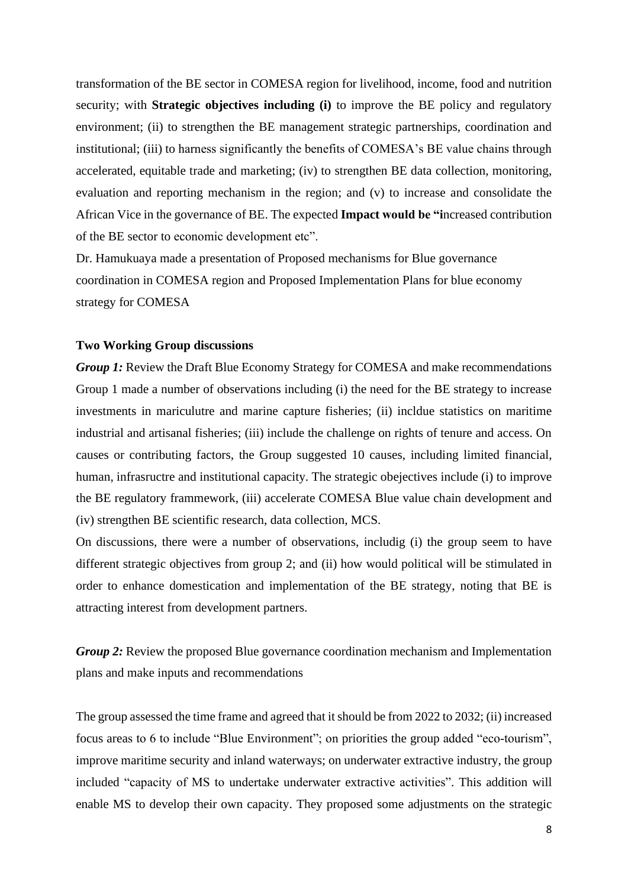transformation of the BE sector in COMESA region for livelihood, income, food and nutrition security; with **Strategic objectives including (i)** to improve the BE policy and regulatory environment; (ii) to strengthen the BE management strategic partnerships, coordination and institutional; (iii) to harness significantly the benefits of COMESA's BE value chains through accelerated, equitable trade and marketing; (iv) to strengthen BE data collection, monitoring, evaluation and reporting mechanism in the region; and (v) to increase and consolidate the African Vice in the governance of BE. The expected **Impact would be "i**ncreased contribution of the BE sector to economic development etc".

Dr. Hamukuaya made a presentation of Proposed mechanisms for Blue governance coordination in COMESA region and Proposed Implementation Plans for blue economy strategy for COMESA

#### **Two Working Group discussions**

*Group 1:* Review the Draft Blue Economy Strategy for COMESA and make recommendations Group 1 made a number of observations including (i) the need for the BE strategy to increase investments in mariculutre and marine capture fisheries; (ii) incldue statistics on maritime industrial and artisanal fisheries; (iii) include the challenge on rights of tenure and access. On causes or contributing factors, the Group suggested 10 causes, including limited financial, human, infrasructre and institutional capacity. The strategic obejectives include (i) to improve the BE regulatory frammework, (iii) accelerate COMESA Blue value chain development and (iv) strengthen BE scientific research, data collection, MCS.

On discussions, there were a number of observations, includig (i) the group seem to have different strategic objectives from group 2; and (ii) how would political will be stimulated in order to enhance domestication and implementation of the BE strategy, noting that BE is attracting interest from development partners.

*Group 2:* Review the proposed Blue governance coordination mechanism and Implementation plans and make inputs and recommendations

The group assessed the time frame and agreed that it should be from 2022 to 2032; (ii) increased focus areas to 6 to include "Blue Environment"; on priorities the group added "eco-tourism", improve maritime security and inland waterways; on underwater extractive industry, the group included "capacity of MS to undertake underwater extractive activities". This addition will enable MS to develop their own capacity. They proposed some adjustments on the strategic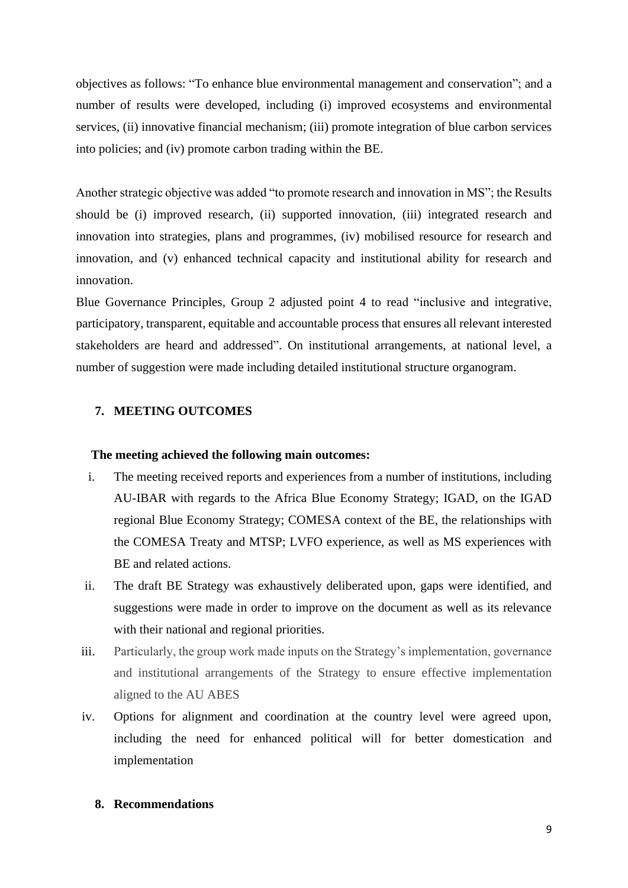objectives as follows: "To enhance blue environmental management and conservation"; and a number of results were developed, including (i) improved ecosystems and environmental services, (ii) innovative financial mechanism; (iii) promote integration of blue carbon services into policies; and (iv) promote carbon trading within the BE.

Another strategic objective was added "to promote research and innovation in MS"; the Results should be (i) improved research, (ii) supported innovation, (iii) integrated research and innovation into strategies, plans and programmes, (iv) mobilised resource for research and innovation, and (v) enhanced technical capacity and institutional ability for research and innovation.

Blue Governance Principles, Group 2 adjusted point 4 to read "inclusive and integrative, participatory, transparent, equitable and accountable process that ensures all relevant interested stakeholders are heard and addressed". On institutional arrangements, at national level, a number of suggestion were made including detailed institutional structure organogram.

## **7. MEETING OUTCOMES**

#### **The meeting achieved the following main outcomes:**

- i. The meeting received reports and experiences from a number of institutions, including AU-IBAR with regards to the Africa Blue Economy Strategy; IGAD, on the IGAD regional Blue Economy Strategy; COMESA context of the BE, the relationships with the COMESA Treaty and MTSP; LVFO experience, as well as MS experiences with BE and related actions.
- ii. The draft BE Strategy was exhaustively deliberated upon, gaps were identified, and suggestions were made in order to improve on the document as well as its relevance with their national and regional priorities.
- iii. Particularly, the group work made inputs on the Strategy's implementation, governance and institutional arrangements of the Strategy to ensure effective implementation aligned to the AU ABES
- iv. Options for alignment and coordination at the country level were agreed upon, including the need for enhanced political will for better domestication and implementation

### **8. Recommendations**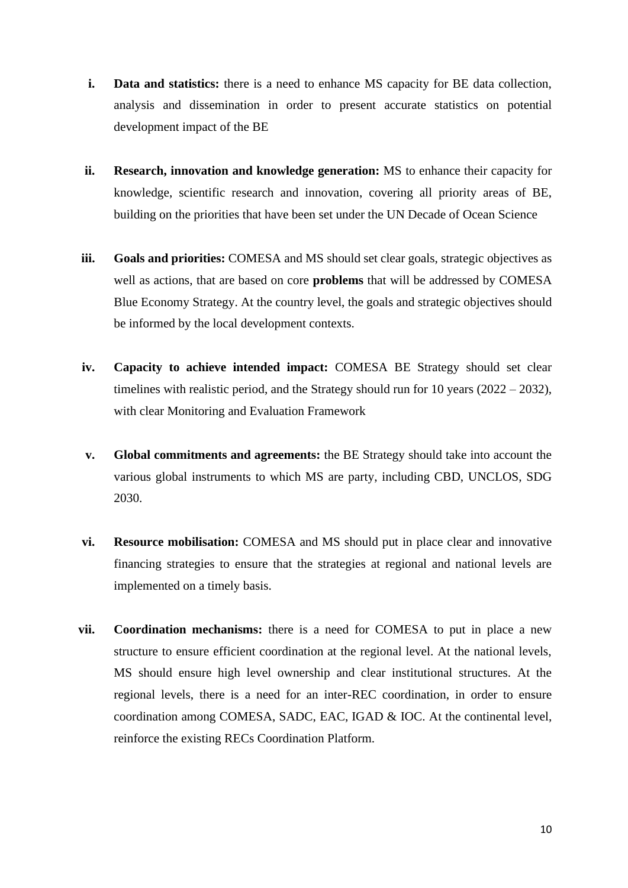- **i. Data and statistics:** there is a need to enhance MS capacity for BE data collection, analysis and dissemination in order to present accurate statistics on potential development impact of the BE
- **ii. Research, innovation and knowledge generation:** MS to enhance their capacity for knowledge, scientific research and innovation, covering all priority areas of BE, building on the priorities that have been set under the UN Decade of Ocean Science
- iii. **Goals and priorities:** COMESA and MS should set clear goals, strategic objectives as well as actions, that are based on core **problems** that will be addressed by COMESA Blue Economy Strategy. At the country level, the goals and strategic objectives should be informed by the local development contexts.
- **iv. Capacity to achieve intended impact:** COMESA BE Strategy should set clear timelines with realistic period, and the Strategy should run for 10 years  $(2022 - 2032)$ , with clear Monitoring and Evaluation Framework
- **v. Global commitments and agreements:** the BE Strategy should take into account the various global instruments to which MS are party, including CBD, UNCLOS, SDG 2030.
- **vi. Resource mobilisation:** COMESA and MS should put in place clear and innovative financing strategies to ensure that the strategies at regional and national levels are implemented on a timely basis.
- **vii. Coordination mechanisms:** there is a need for COMESA to put in place a new structure to ensure efficient coordination at the regional level. At the national levels, MS should ensure high level ownership and clear institutional structures. At the regional levels, there is a need for an inter-REC coordination, in order to ensure coordination among COMESA, SADC, EAC, IGAD & IOC. At the continental level, reinforce the existing RECs Coordination Platform.